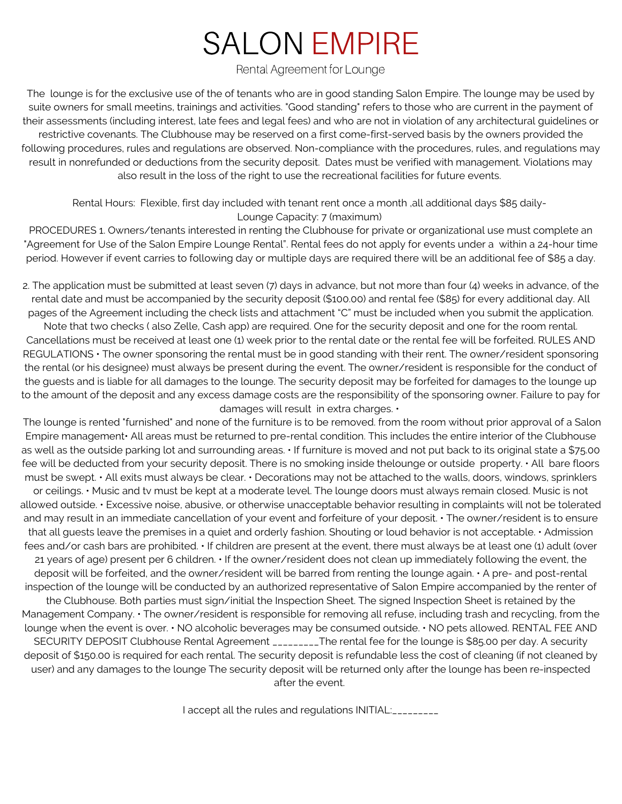## SALON EMPIRE

Rental Agreement for Lounge

The lounge is for the exclusive use of the of tenants who are in good standing Salon Empire. The lounge may be used by suite owners for small meetins, trainings and activities. "Good standing" refers to those who are current in the payment of their assessments (including interest, late fees and legal fees) and who are not in violation of any architectural guidelines or restrictive covenants. The Clubhouse may be reserved on a first come-first-served basis by the owners provided the following procedures, rules and regulations are observed. Non-compliance with the procedures, rules, and regulations may result in nonrefunded or deductions from the security deposit. Dates must be verified with management. Violations may also result in the loss of the right to use the recreational facilities for future events.

Rental Hours: Flexible, first day included with tenant rent once a month ,all additional days \$85 daily-Lounge Capacity: 7 (maximum)

PROCEDURES 1. Owners/tenants interested in renting the Clubhouse for private or organizational use must complete an "Agreement for Use of the Salon Empire Lounge Rental". Rental fees do not apply for events under a within a 24-hour time period. However if event carries to following day or multiple days are required there will be an additional fee of \$85 a day.

2. The application must be submitted at least seven (7) days in advance, but not more than four (4) weeks in advance, of the rental date and must be accompanied by the security deposit (\$100.00) and rental fee (\$85) for every additional day. All pages of the Agreement including the check lists and attachment "C" must be included when you submit the application.

Note that two checks ( also Zelle, Cash app) are required. One for the security deposit and one for the room rental. Cancellations must be received at least one (1) week prior to the rental date or the rental fee will be forfeited. RULES AND REGULATIONS • The owner sponsoring the rental must be in good standing with their rent. The owner/resident sponsoring the rental (or his designee) must always be present during the event. The owner/resident is responsible for the conduct of the guests and is liable for all damages to the lounge. The security deposit may be forfeited for damages to the lounge up to the amount of the deposit and any excess damage costs are the responsibility of the sponsoring owner. Failure to pay for damages will result in extra charges. •

The lounge is rented "furnished" and none of the furniture is to be removed. from the room without prior approval of a Salon Empire management• All areas must be returned to pre-rental condition. This includes the entire interior of the Clubhouse as well as the outside parking lot and surrounding areas. • If furniture is moved and not put back to its original state a \$75.00 fee will be deducted from your security deposit. There is no smoking inside thelounge or outside property. • All bare floors must be swept. • All exits must always be clear. • Decorations may not be attached to the walls, doors, windows, sprinklers or ceilings. • Music and tv must be kept at a moderate level. The lounge doors must always remain closed. Music is not allowed outside. • Excessive noise, abusive, or otherwise unacceptable behavior resulting in complaints will not be tolerated and may result in an immediate cancellation of your event and forfeiture of your deposit. • The owner/resident is to ensure that all guests leave the premises in a quiet and orderly fashion. Shouting or loud behavior is not acceptable. • Admission fees and/or cash bars are prohibited. • If children are present at the event, there must always be at least one (1) adult (over 21 years of age) present per 6 children. • If the owner/resident does not clean up immediately following the event, the deposit will be forfeited, and the owner/resident will be barred from renting the lounge again. • A pre- and post-rental inspection of the lounge will be conducted by an authorized representative of Salon Empire accompanied by the renter of the Clubhouse. Both parties must sign/initial the Inspection Sheet. The signed Inspection Sheet is retained by the Management Company. • The owner/resident is responsible for removing all refuse, including trash and recycling, from the lounge when the event is over. • NO alcoholic beverages may be consumed outside. • NO pets allowed. RENTAL FEE AND SECURITY DEPOSIT Clubhouse Rental Agreement \_\_\_\_\_\_\_\_\_The rental fee for the lounge is \$85.00 per day. A security deposit of \$150.00 is required for each rental. The security deposit is refundable less the cost of cleaning (if not cleaned by user) and any damages to the lounge The security deposit will be returned only after the lounge has been re-inspected after the event.

I accept all the rules and regulations INITIAL: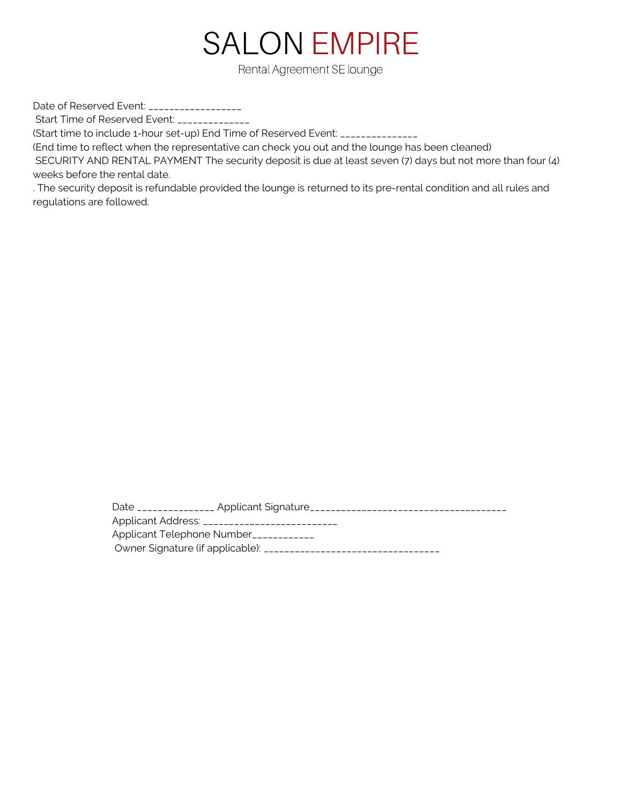

Rental Agreement SE lounge

Date of Reserved Event: \_\_\_\_\_\_\_\_\_\_\_\_\_\_\_\_\_\_\_

Start Time of Reserved Event: \_\_\_\_\_\_\_\_\_\_\_\_\_

(Start time to include 1-hour set-up) End Time of Reserved Event: \_\_\_\_\_\_\_\_\_\_\_\_\_\_\_

(End time to reflect when the representative can check you out and the lounge has been cleaned)

SECURITY AND RENTAL PAYMENT The security deposit is due at least seven (7) days but not more than four (4) weeks before the rental date.

. The security deposit is refundable provided the lounge is returned to its pre-rental condition and all rules and regulations are followed.

> Date \_\_\_\_\_\_\_\_\_\_\_\_\_\_\_ Applicant Signature\_\_\_\_\_\_\_\_\_\_\_\_\_\_\_\_\_\_\_\_\_\_\_\_\_\_\_\_\_\_\_\_\_\_\_\_\_\_ Applicant Address: \_\_\_\_\_\_\_\_\_\_\_\_\_\_\_\_\_\_\_\_\_\_\_\_\_\_ Applicant Telephone Number<sub>------------</sub> Owner Signature (if applicable): \_\_\_\_\_\_\_\_\_\_\_\_\_\_\_\_\_\_\_\_\_\_\_\_\_\_\_\_\_\_\_\_\_\_